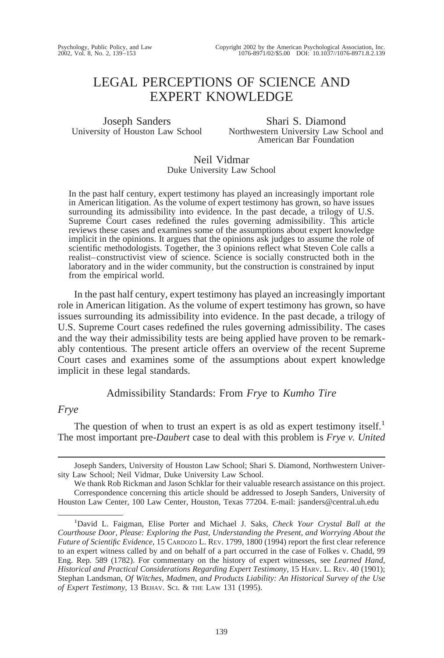# LEGAL PERCEPTIONS OF SCIENCE AND EXPERT KNOWLEDGE

Joseph Sanders University of Houston Law School

Shari S. Diamond Northwestern University Law School and American Bar Foundation

Neil Vidmar Duke University Law School

In the past half century, expert testimony has played an increasingly important role in American litigation. As the volume of expert testimony has grown, so have issues surrounding its admissibility into evidence. In the past decade, a trilogy of U.S. Supreme Court cases redefined the rules governing admissibility. This article reviews these cases and examines some of the assumptions about expert knowledge implicit in the opinions. It argues that the opinions ask judges to assume the role of scientific methodologists. Together, the 3 opinions reflect what Steven Cole calls a realist–constructivist view of science. Science is socially constructed both in the laboratory and in the wider community, but the construction is constrained by input from the empirical world.

In the past half century, expert testimony has played an increasingly important role in American litigation. As the volume of expert testimony has grown, so have issues surrounding its admissibility into evidence. In the past decade, a trilogy of U.S. Supreme Court cases redefined the rules governing admissibility. The cases and the way their admissibility tests are being applied have proven to be remarkably contentious. The present article offers an overview of the recent Supreme Court cases and examines some of the assumptions about expert knowledge implicit in these legal standards.

Admissibility Standards: From *Frye* to *Kumho Tire*

## *Frye*

The question of when to trust an expert is as old as expert testimony itself.<sup>1</sup> The most important pre-*Daubert* case to deal with this problem is *Frye v. United*

Joseph Sanders, University of Houston Law School; Shari S. Diamond, Northwestern University Law School; Neil Vidmar, Duke University Law School.

We thank Rob Rickman and Jason Schklar for their valuable research assistance on this project. Correspondence concerning this article should be addressed to Joseph Sanders, University of Houston Law Center, 100 Law Center, Houston, Texas 77204. E-mail: jsanders@central.uh.edu

<sup>1</sup> David L. Faigman, Elise Porter and Michael J. Saks, *Check Your Crystal Ball at the Courthouse Door, Please: Exploring the Past, Understanding the Present, and Worrying About the Future of Scientific Evidence,* 15 CARDOZO L. REV. 1799, 1800 (1994) report the first clear reference to an expert witness called by and on behalf of a part occurred in the case of Folkes v. Chadd, 99 Eng. Rep. 589 (1782). For commentary on the history of expert witnesses, see *Learned Hand, Historical and Practical Considerations Regarding Expert Testimony,* 15 HARV. L. REV. 40 (1901); Stephan Landsman, *Of Witches, Madmen, and Products Liability: An Historical Survey of the Use of Expert Testimony,* 13 BEHAV. SCI. & THE LAW 131 (1995).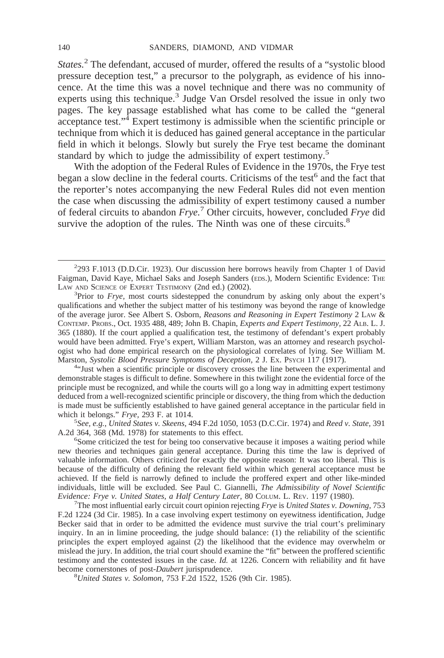*States.*<sup>2</sup> The defendant, accused of murder, offered the results of a "systolic blood pressure deception test," a precursor to the polygraph, as evidence of his innocence. At the time this was a novel technique and there was no community of experts using this technique.<sup>3</sup> Judge Van Orsdel resolved the issue in only two pages. The key passage established what has come to be called the "general acceptance test." $4$  Expert testimony is admissible when the scientific principle or technique from which it is deduced has gained general acceptance in the particular field in which it belongs. Slowly but surely the Frye test became the dominant standard by which to judge the admissibility of expert testimony.<sup>5</sup>

With the adoption of the Federal Rules of Evidence in the 1970s, the Frye test began a slow decline in the federal courts. Criticisms of the test<sup>6</sup> and the fact that the reporter's notes accompanying the new Federal Rules did not even mention the case when discussing the admissibility of expert testimony caused a number of federal circuits to abandon *Frye.*<sup>7</sup> Other circuits, however, concluded *Frye* did survive the adoption of the rules. The Ninth was one of these circuits.<sup>8</sup>

<sup>4"</sup>Just when a scientific principle or discovery crosses the line between the experimental and demonstrable stages is difficult to define. Somewhere in this twilight zone the evidential force of the principle must be recognized, and while the courts will go a long way in admitting expert testimony deduced from a well-recognized scientific principle or discovery, the thing from which the deduction is made must be sufficiently established to have gained general acceptance in the particular field in which it belongs." *Frye*, 293 F. at 1014.

*See, e.g., United States v. Skeens,* 494 F.2d 1050, 1053 (D.C.Cir. 1974) and *Reed v. State,* 391 A.2d 364, 368 (Md. 1978) for statements to this effect. <sup>6</sup>

<sup>6</sup>Some criticized the test for being too conservative because it imposes a waiting period while new theories and techniques gain general acceptance. During this time the law is deprived of valuable information. Others criticized for exactly the opposite reason: It was too liberal. This is because of the difficulty of defining the relevant field within which general acceptance must be achieved. If the field is narrowly defined to include the proffered expert and other like-minded individuals, little will be excluded. See Paul C. Giannelli, *The Admissibility of Novel Scientific Evidence: Frye v. United States, a Half Century Later,* 80 COLUM. L. REV. 1197 (1980). <sup>7</sup>

The most influential early circuit court opinion rejecting *Frye* is *United States v. Downing,* 753 F.2d 1224 (3d Cir. 1985). In a case involving expert testimony on eyewitness identification, Judge Becker said that in order to be admitted the evidence must survive the trial court's preliminary inquiry. In an in limine proceeding, the judge should balance: (1) the reliability of the scientific principles the expert employed against (2) the likelihood that the evidence may overwhelm or mislead the jury. In addition, the trial court should examine the "fit" between the proffered scientific testimony and the contested issues in the case. *Id.* at 1226. Concern with reliability and fit have become cornerstones of post-*Daubert* jurisprudence.

*United States v. Solomon,* 753 F.2d 1522, 1526 (9th Cir. 1985).

<sup>&</sup>lt;sup>2</sup>293 F.1013 (D.D.Cir. 1923). Our discussion here borrows heavily from Chapter 1 of David Faigman, David Kaye, Michael Saks and Joseph Sanders (EDS.), Modern Scientific Evidence: THE LAW AND SCIENCE OF EXPERT TESTIMONY (2nd ed.) (2002).

<sup>&</sup>lt;sup>3</sup>Prior to *Frye*, most courts sidestepped the conundrum by asking only about the expert's qualifications and whether the subject matter of his testimony was beyond the range of knowledge of the average juror. See Albert S. Osborn, *Reasons and Reasoning in Expert Testimony* 2 LAW & CONTEMP. PROBS., Oct. 1935 488, 489; John B. Chapin, *Experts and Expert Testimony,* 22 ALB. L. J. 365 (1880). If the court applied a qualification test, the testimony of defendant's expert probably would have been admitted. Frye's expert, William Marston, was an attorney and research psychologist who had done empirical research on the physiological correlates of lying. See William M. Marston, *Systolic Blood Pressure Symptoms of Deception*, 2 J. Ex. Psych 117 (1917).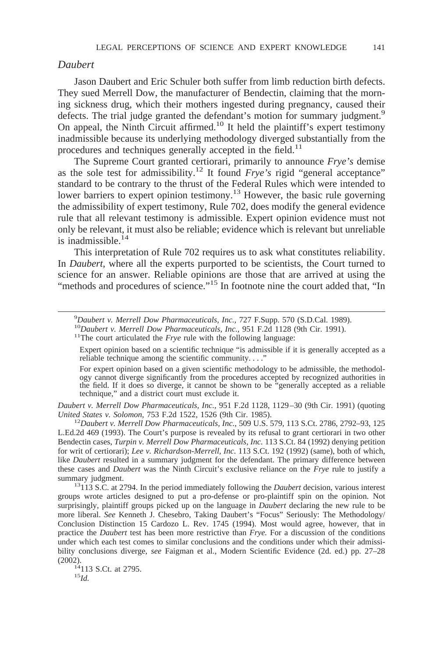#### *Daubert*

Jason Daubert and Eric Schuler both suffer from limb reduction birth defects. They sued Merrell Dow, the manufacturer of Bendectin, claiming that the morning sickness drug, which their mothers ingested during pregnancy, caused their defects. The trial judge granted the defendant's motion for summary judgment.<sup>9</sup> On appeal, the Ninth Circuit affirmed.<sup>10</sup> It held the plaintiff's expert testimony inadmissible because its underlying methodology diverged substantially from the procedures and techniques generally accepted in the field.<sup>11</sup>

The Supreme Court granted certiorari, primarily to announce *Frye's* demise as the sole test for admissibility.<sup>12</sup> It found *Frye's* rigid "general acceptance" standard to be contrary to the thrust of the Federal Rules which were intended to lower barriers to expert opinion testimony.<sup>13</sup> However, the basic rule governing the admissibility of expert testimony, Rule 702, does modify the general evidence rule that all relevant testimony is admissible. Expert opinion evidence must not only be relevant, it must also be reliable; evidence which is relevant but unreliable is inadmissible.<sup>14</sup>

This interpretation of Rule 702 requires us to ask what constitutes reliability. In *Daubert,* where all the experts purported to be scientists, the Court turned to science for an answer. Reliable opinions are those that are arrived at using the "methods and procedures of science."<sup>15</sup> In footnote nine the court added that, "In

*Daubert v. Merrell Dow Pharmaceuticals, Inc.,* 951 F.2d 1128, 1129–30 (9th Cir. 1991) (quoting *United States v. Solomon,* 753 F.2d 1522, 1526 (9th Cir. 1985).<br><sup>12</sup>Daubert v. Merrell Dow Pharmaceuticals, Inc., 509 U.S. 579, 113 S.Ct. 2786, 2792–93, 125

L.Ed.2d 469 (1993). The Court's purpose is revealed by its refusal to grant certiorari in two other Bendectin cases, *Turpin v. Merrell Dow Pharmaceuticals, Inc.* 113 S.Ct. 84 (1992) denying petition for writ of certiorari); *Lee v. Richardson-Merrell, Inc.* 113 S.Ct. 192 (1992) (same), both of which, like *Daubert* resulted in a summary judgment for the defendant. The primary difference between these cases and *Daubert* was the Ninth Circuit's exclusive reliance on the *Frye* rule to justify a

summary judgment.<br><sup>13</sup>113 S.C. at 2794. In the period immediately following the *Daubert* decision, various interest groups wrote articles designed to put a pro-defense or pro-plaintiff spin on the opinion. Not surprisingly, plaintiff groups picked up on the language in *Daubert* declaring the new rule to be more liberal. *See* Kenneth J. Chesebro, Taking Daubert's "Focus" Seriously: The Methodology/ Conclusion Distinction 15 Cardozo L. Rev. 1745 (1994). Most would agree, however, that in practice the *Daubert* test has been more restrictive than *Frye.* For a discussion of the conditions under which each test comes to similar conclusions and the conditions under which their admissibility conclusions diverge, *see* Faigman et al., Modern Scientific Evidence (2d. ed.) pp. 27–28

(2002). 14113 S.Ct. at 2795. <sup>15</sup>*Id.*

<sup>&</sup>lt;sup>9</sup>Daubert v. Merrell Dow Pharmaceuticals, Inc., 727 F.Supp. 570 (S.D.Cal. 1989).

<sup>&</sup>lt;sup>10</sup>Daubert v. Merrell Dow Pharmaceuticals, Inc., 951 F.2d 1128 (9th Cir. 1991).<br><sup>11</sup>The court articulated the *Frye* rule with the following language:

Expert opinion based on a scientific technique "is admissible if it is generally accepted as a reliable technique among the scientific community...."

For expert opinion based on a given scientific methodology to be admissible, the methodology cannot diverge significantly from the procedures accepted by recognized authorities in the field. If it does so diverge, it cannot be shown to be "generally accepted as a reliable technique," and a district court must exclude it.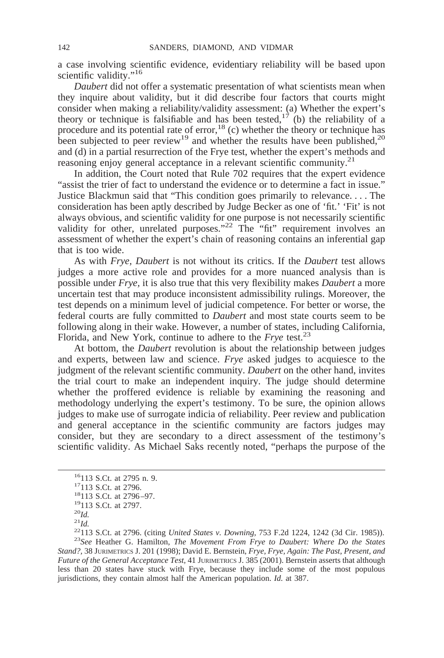a case involving scientific evidence, evidentiary reliability will be based upon scientific validity."<sup>16</sup>

*Daubert* did not offer a systematic presentation of what scientists mean when they inquire about validity, but it did describe four factors that courts might consider when making a reliability/validity assessment: (a) Whether the expert's theory or technique is falsifiable and has been tested, $17$  (b) the reliability of a procedure and its potential rate of error,<sup>18</sup> (c) whether the theory or technique has been subjected to peer review<sup>19</sup> and whether the results have been published,<sup>20</sup> and (d) in a partial resurrection of the Frye test, whether the expert's methods and reasoning enjoy general acceptance in a relevant scientific community. $2<sup>1</sup>$ 

In addition, the Court noted that Rule 702 requires that the expert evidence "assist the trier of fact to understand the evidence or to determine a fact in issue." Justice Blackmun said that "This condition goes primarily to relevance. . . . The consideration has been aptly described by Judge Becker as one of 'fit.' 'Fit' is not always obvious, and scientific validity for one purpose is not necessarily scientific validity for other, unrelated purposes."<sup>22</sup> The "fit" requirement involves an assessment of whether the expert's chain of reasoning contains an inferential gap that is too wide.

As with *Frye, Daubert* is not without its critics. If the *Daubert* test allows judges a more active role and provides for a more nuanced analysis than is possible under *Frye,* it is also true that this very flexibility makes *Daubert* a more uncertain test that may produce inconsistent admissibility rulings. Moreover, the test depends on a minimum level of judicial competence. For better or worse, the federal courts are fully committed to *Daubert* and most state courts seem to be following along in their wake. However, a number of states, including California, Florida, and New York, continue to adhere to the *Frye* test.<sup>23</sup>

At bottom, the *Daubert* revolution is about the relationship between judges and experts, between law and science. *Frye* asked judges to acquiesce to the judgment of the relevant scientific community. *Daubert* on the other hand, invites the trial court to make an independent inquiry. The judge should determine whether the proffered evidence is reliable by examining the reasoning and methodology underlying the expert's testimony. To be sure, the opinion allows judges to make use of surrogate indicia of reliability. Peer review and publication and general acceptance in the scientific community are factors judges may consider, but they are secondary to a direct assessment of the testimony's scientific validity. As Michael Saks recently noted, "perhaps the purpose of the

<sup>&</sup>lt;sup>16</sup>113 S.Ct. at 2795 n. 9.<br>
<sup>17</sup>113 S.Ct. at 2796.<br>
<sup>18</sup>113 S.Ct. at 2796–97.<br>
<sup>19</sup>113 S.Ct. at 2797.<br>
<sup>20</sup>*Id.*<br>
<sup>21</sup>113 S.Ct. at 2796. (citing *United States v. Downing*, 753 F.2d 1224, 1242 (3d Cir. 1985)).<br>
<sup>22</sup>113 S *Stand?,* 38 JURIMETRICS J. 201 (1998); David E. Bernstein, *Frye, Frye, Again: The Past, Present, and Future of the General Acceptance Test,* 41 JURIMETRICS J. 385 (2001). Bernstein asserts that although less than 20 states have stuck with Frye, because they include some of the most populous jurisdictions, they contain almost half the American population. *Id.* at 387.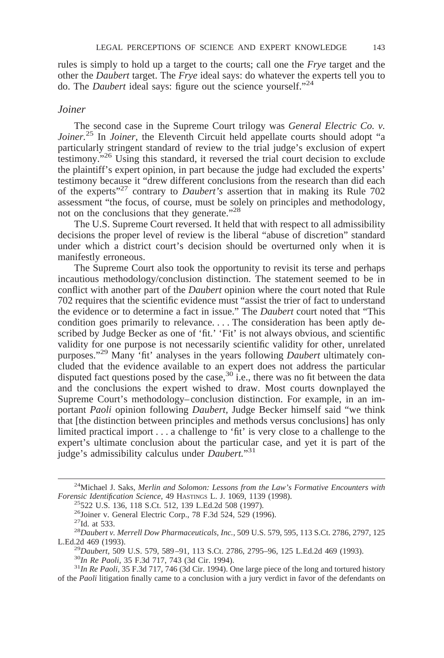rules is simply to hold up a target to the courts; call one the *Frye* target and the other the *Daubert* target. The *Frye* ideal says: do whatever the experts tell you to do. The *Daubert* ideal says: figure out the science yourself."24

#### *Joiner*

The second case in the Supreme Court trilogy was *General Electric Co. v. Joiner.*<sup>25</sup> In *Joiner*, the Eleventh Circuit held appellate courts should adopt "a particularly stringent standard of review to the trial judge's exclusion of expert testimony."26 Using this standard, it reversed the trial court decision to exclude the plaintiff's expert opinion, in part because the judge had excluded the experts' testimony because it "drew different conclusions from the research than did each of the experts"27 contrary to *Daubert's* assertion that in making its Rule 702 assessment "the focus, of course, must be solely on principles and methodology, not on the conclusions that they generate."<sup>28</sup>

The U.S. Supreme Court reversed. It held that with respect to all admissibility decisions the proper level of review is the liberal "abuse of discretion" standard under which a district court's decision should be overturned only when it is manifestly erroneous.

The Supreme Court also took the opportunity to revisit its terse and perhaps incautious methodology/conclusion distinction. The statement seemed to be in conflict with another part of the *Daubert* opinion where the court noted that Rule 702 requires that the scientific evidence must "assist the trier of fact to understand the evidence or to determine a fact in issue." The *Daubert* court noted that "This condition goes primarily to relevance. . . . The consideration has been aptly described by Judge Becker as one of 'fit.' 'Fit' is not always obvious, and scientific validity for one purpose is not necessarily scientific validity for other, unrelated purposes."29 Many 'fit' analyses in the years following *Daubert* ultimately concluded that the evidence available to an expert does not address the particular disputed fact questions posed by the case,  $30 \text{ i.e.,}$  there was no fit between the data and the conclusions the expert wished to draw. Most courts downplayed the Supreme Court's methodology–conclusion distinction. For example, in an important *Paoli* opinion following *Daubert,* Judge Becker himself said "we think that [the distinction between principles and methods versus conclusions] has only limited practical import  $\ldots$  a challenge to 'fit' is very close to a challenge to the expert's ultimate conclusion about the particular case, and yet it is part of the judge's admissibility calculus under *Daubert.*"31

of the *Paoli* litigation finally came to a conclusion with a jury verdict in favor of the defendants on

<sup>24</sup>Michael J. Saks, *Merlin and Solomon: Lessons from the Law's Formative Encounters with*

Forensic Identification Science, 49 HASTINGS L. J. 1069, 1139 (1998).<br><sup>25</sup>522 U.S. 136, 118 S.Ct. 512, 139 L.Ed.2d 508 (1997).<br><sup>26</sup>Joiner v. General Electric Corp., 78 F.3d 524, 529 (1996).<br><sup>27</sup>Id. at 533.<br><sup>28</sup>Daubert v. M

<sup>&</sup>lt;sup>29</sup>Daubert, 509 U.S. 579, 589–91, 113 S.Ct. 2786, 2795–96, 125 L.Ed.2d 469 (1993).<br><sup>30</sup>In Re Paoli, 35 F.3d 717, 743 (3d Cir. 1994).<br><sup>31</sup>In Re Paoli, 35 F.3d 717, 746 (3d Cir. 1994). One large piece of the long and tortu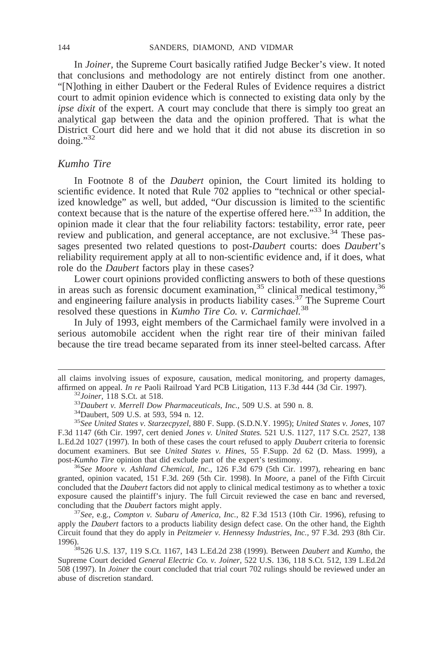In *Joiner,* the Supreme Court basically ratified Judge Becker's view. It noted that conclusions and methodology are not entirely distinct from one another. "[N]othing in either Daubert or the Federal Rules of Evidence requires a district court to admit opinion evidence which is connected to existing data only by the *ipse dixit* of the expert. A court may conclude that there is simply too great an analytical gap between the data and the opinion proffered. That is what the District Court did here and we hold that it did not abuse its discretion in so doing."32

## *Kumho Tire*

In Footnote 8 of the *Daubert* opinion, the Court limited its holding to scientific evidence. It noted that Rule 702 applies to "technical or other specialized knowledge" as well, but added, "Our discussion is limited to the scientific context because that is the nature of the expertise offered here."33 In addition, the opinion made it clear that the four reliability factors: testability, error rate, peer review and publication, and general acceptance, are not exclusive.<sup>34</sup> These passages presented two related questions to post-*Daubert* courts: does *Daubert*'s reliability requirement apply at all to non-scientific evidence and, if it does, what role do the *Daubert* factors play in these cases?

Lower court opinions provided conflicting answers to both of these questions in areas such as forensic document examination,<sup>35</sup> clinical medical testimony,<sup>36</sup> and engineering failure analysis in products liability cases.<sup>37</sup> The Supreme Court resolved these questions in *Kumho Tire Co. v. Carmichael.*<sup>38</sup>

In July of 1993, eight members of the Carmichael family were involved in a serious automobile accident when the right rear tire of their minivan failed because the tire tread became separated from its inner steel-belted carcass. After

granted, opinion vacated, 151 F.3d. 269 (5th Cir. 1998). In *Moore,* a panel of the Fifth Circuit concluded that the *Daubert* factors did not apply to clinical medical testimony as to whether a toxic exposure caused the plaintiff's injury. The full Circuit reviewed the case en banc and reversed, concluding that the *Daubert* factors might apply.<br><sup>37</sup>*See*, e.g., *Compton v. Subaru of America, Inc.*, 82 F.3d 1513 (10th Cir. 1996), refusing to

apply the *Daubert* factors to a products liability design defect case. On the other hand, the Eighth Circuit found that they do apply in *Peitzmeier v. Hennessy Industries, Inc.,* 97 F.3d. 293 (8th Cir. 1996).38526 U.S. 137, 119 S.Ct. 1167, 143 L.Ed.2d 238 (1999). Between *Daubert* and *Kumho,* the

Supreme Court decided *General Electric Co. v. Joiner,* 522 U.S. 136, 118 S.Ct. 512, 139 L.Ed.2d 508 (1997). In *Joiner* the court concluded that trial court 702 rulings should be reviewed under an abuse of discretion standard.

all claims involving issues of exposure, causation, medical monitoring, and property damages, affirmed on appeal. *In re* Paoli Railroad Yard PCB Litigation,  $113$  F.3d  $444$  (3d Cir. 1997).

<sup>&</sup>lt;sup>32</sup>Joiner, 118 S.Ct. at 518.<br><sup>33</sup>Daubert v. Merrell Dow Pharmaceuticals, Inc., 509 U.S. at 590 n. 8.<br><sup>34</sup>Daubert, 509 U.S. at 593, 594 n. 12.<br><sup>35</sup>See United States v. Starzecpyzel, 880 F. Supp. (S.D.N.Y. 1995); United St F.3d 1147 (6th Cir. 1997, cert denied *Jones v. United States.* 521 U.S. 1127, 117 S.Ct. 2527, 138 L.Ed.2d 1027 (1997). In both of these cases the court refused to apply *Daubert* criteria to forensic document examiners. But see *United States v. Hines,* 55 F.Supp. 2d 62 (D. Mass. 1999), a post-*Kumho Tire* opinion that did exclude part of the expert's testimony.<br><sup>36</sup>See Moore v. Ashland Chemical, Inc., 126 F.3d 679 (5th Cir. 1997), rehearing en banc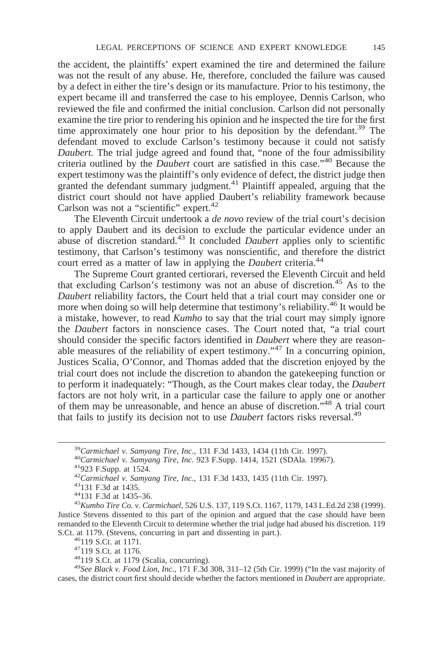the accident, the plaintiffs' expert examined the tire and determined the failure was not the result of any abuse. He, therefore, concluded the failure was caused by a defect in either the tire's design or its manufacture. Prior to his testimony, the expert became ill and transferred the case to his employee, Dennis Carlson, who reviewed the file and confirmed the initial conclusion. Carlson did not personally examine the tire prior to rendering his opinion and he inspected the tire for the first time approximately one hour prior to his deposition by the defendant.<sup>39</sup> The defendant moved to exclude Carlson's testimony because it could not satisfy *Daubert.* The trial judge agreed and found that, "none of the four admissibility criteria outlined by the *Daubert* court are satisfied in this case."40 Because the expert testimony was the plaintiff's only evidence of defect, the district judge then granted the defendant summary judgment.<sup>41</sup> Plaintiff appealed, arguing that the district court should not have applied Daubert's reliability framework because Carlson was not a "scientific" expert. $42$ 

The Eleventh Circuit undertook a *de novo* review of the trial court's decision to apply Daubert and its decision to exclude the particular evidence under an abuse of discretion standard.43 It concluded *Daubert* applies only to scientific testimony, that Carlson's testimony was nonscientific, and therefore the district court erred as a matter of law in applying the *Daubert* criteria.<sup>44</sup>

The Supreme Court granted certiorari, reversed the Eleventh Circuit and held that excluding Carlson's testimony was not an abuse of discretion.<sup>45</sup> As to the *Daubert* reliability factors, the Court held that a trial court may consider one or more when doing so will help determine that testimony's reliability.<sup>46</sup> It would be a mistake, however, to read *Kumho* to say that the trial court may simply ignore the *Daubert* factors in nonscience cases. The Court noted that, "a trial court should consider the specific factors identified in *Daubert* where they are reasonable measures of the reliability of expert testimony."47 In a concurring opinion, Justices Scalia, O'Connor, and Thomas added that the discretion enjoyed by the trial court does not include the discretion to abandon the gatekeeping function or to perform it inadequately: "Though, as the Court makes clear today, the *Daubert* factors are not holy writ, in a particular case the failure to apply one or another of them may be unreasonable, and hence an abuse of discretion."<sup>48</sup> A trial court that fails to justify its decision not to use *Daubert* factors risks reversal.49

Justice Stevens dissented to this part of the opinion and argued that the case should have been remanded to the Eleventh Circuit to determine whether the trial judge had abused his discretion. 119

S.Ct. at 1179. (Stevens, concurring in part and dissenting in part.).<br><sup>46</sup>119 S.Ct. at 1171.<br><sup>47</sup>119 S.Ct. at 1176.<br><sup>48</sup>119 S.Ct. at 1179 (Scalia, concurring).<br><sup>49</sup>See Black v. Food Lion, Inc., 171 F.3d 308, 311–12 (5th C cases, the district court first should decide whether the factors mentioned in *Daubert* are appropriate.

<sup>&</sup>lt;sup>39</sup>Carmichael v. Samyang Tire, Inc., 131 F.3d 1433, 1434 (11th Cir. 1997).<br><sup>40</sup>Carmichael v. Samyang Tire, Inc. 923 F.Supp. 1414, 1521 (SDAla. 19967).<br><sup>41</sup>923 F.Supp. at 1524.<br><sup>42</sup>Carmichael v. Samyang Tire, Inc., 131 F.3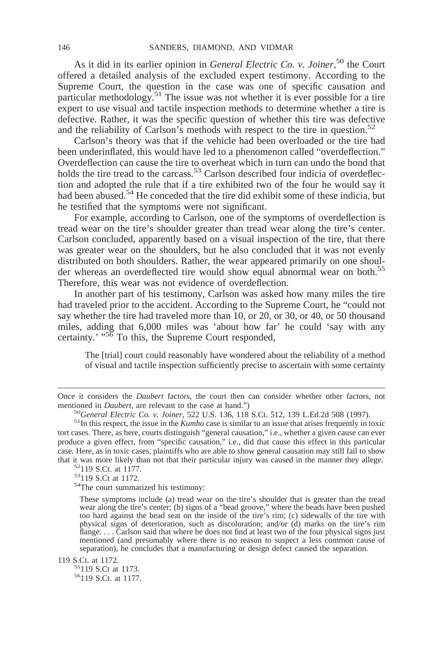As it did in its earlier opinion in *General Electric Co. v. Joiner,*<sup>50</sup> the Court offered a detailed analysis of the excluded expert testimony. According to the Supreme Court, the question in the case was one of specific causation and particular methodology.<sup>51</sup> The issue was not whether it is ever possible for a tire expert to use visual and tactile inspection methods to determine whether a tire is defective. Rather, it was the specific question of whether this tire was defective and the reliability of Carlson's methods with respect to the tire in question.<sup>52</sup>

Carlson's theory was that if the vehicle had been overloaded or the tire had been underinflated, this would have led to a phenomenon called "overdeflection." Overdeflection can cause the tire to overheat which in turn can undo the bond that holds the tire tread to the carcass.<sup>53</sup> Carlson described four indicia of overdeflection and adopted the rule that if a tire exhibited two of the four he would say it had been abused.<sup>54</sup> He conceded that the tire did exhibit some of these indicia, but he testified that the symptoms were not significant.

For example, according to Carlson, one of the symptoms of overdeflection is tread wear on the tire's shoulder greater than tread wear along the tire's center. Carlson concluded, apparently based on a visual inspection of the tire, that there was greater wear on the shoulders, but he also concluded that it was not evenly distributed on both shoulders. Rather, the wear appeared primarily on one shoulder whereas an overdeflected tire would show equal abnormal wear on both.<sup>55</sup> Therefore, this wear was not evidence of overdeflection.

In another part of his testimony, Carlson was asked how many miles the tire had traveled prior to the accident. According to the Supreme Court, he "could not say whether the tire had traveled more than 10, or 20, or 30, or 40, or 50 thousand miles, adding that 6,000 miles was 'about how far' he could 'say with any certainty.'  $\frac{.55}{.50}$  To this, the Supreme Court responded,

The [trial] court could reasonably have wondered about the reliability of a method of visual and tactile inspection sufficiently precise to ascertain with some certainty

These symptoms include (a) tread wear on the tire's shoulder that is greater than the tread wear along the tire's center; (b) signs of a "bead groove," where the beads have been pushed too hard against the bead seat on the inside of the tire's rim; (c) sidewalls of the tire with physical signs of deterioration, such as discoloration; and/or (d) marks on the tire's rim flange.... Carlson said that where he does not find at least two of the four physical signs just mentioned (and presumably where there is no reason to suspect a less common cause of separation), he concludes that a manufacturing or design defect caused the separation.

119 S.Ct. at 1172.<br><sup>55</sup>119 S.Ct at 1173.<br><sup>56</sup>119 S.Ct. at 1177.

Once it considers the *Daubert* factors, the court then can consider whether other factors, not mentioned in *Daubert*, are relevant to the case at hand.")<br><sup>50</sup>*General Electric Co. v. Joiner*, 522 U.S. 136, 118 S.Ct. 512, 139 L.Ed.2d 508 (1997).<br><sup>51</sup>In this respect, the issue in the *Kumho* case is similar to an iss

tort cases. There, as here, courts distinguish "general causation," i.e., whether a given cause can ever produce a given effect, from "specific causation," i.e., did that cause this effect in this particular case. Here, as in toxic cases, plaintiffs who are able to show general causation may still fail to show that it was more likely than not that their particular injury was caused in the manner they allege.<br> $^{52}$ 119 S.Ct. at 1177.<br> $^{53}$ 119 S.Ct at 1172.<br> $^{54}$ The court summarized his testimony: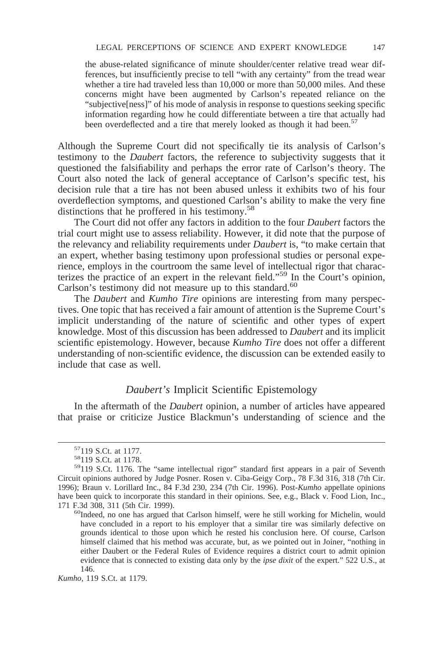the abuse-related significance of minute shoulder/center relative tread wear differences, but insufficiently precise to tell "with any certainty" from the tread wear whether a tire had traveled less than 10,000 or more than 50,000 miles. And these concerns might have been augmented by Carlson's repeated reliance on the "subjective[ness]" of his mode of analysis in response to questions seeking specific information regarding how he could differentiate between a tire that actually had been overdeflected and a tire that merely looked as though it had been.<sup>57</sup>

Although the Supreme Court did not specifically tie its analysis of Carlson's testimony to the *Daubert* factors, the reference to subjectivity suggests that it questioned the falsifiability and perhaps the error rate of Carlson's theory. The Court also noted the lack of general acceptance of Carlson's specific test, his decision rule that a tire has not been abused unless it exhibits two of his four overdeflection symptoms, and questioned Carlson's ability to make the very fine distinctions that he proffered in his testimony.58

The Court did not offer any factors in addition to the four *Daubert* factors the trial court might use to assess reliability. However, it did note that the purpose of the relevancy and reliability requirements under *Daubert* is, "to make certain that an expert, whether basing testimony upon professional studies or personal experience, employs in the courtroom the same level of intellectual rigor that characterizes the practice of an expert in the relevant field."59 In the Court's opinion, Carlson's testimony did not measure up to this standard.<sup>60</sup>

The *Daubert* and *Kumho Tire* opinions are interesting from many perspectives. One topic that has received a fair amount of attention is the Supreme Court's implicit understanding of the nature of scientific and other types of expert knowledge. Most of this discussion has been addressed to *Daubert* and its implicit scientific epistemology. However, because *Kumho Tire* does not offer a different understanding of non-scientific evidence, the discussion can be extended easily to include that case as well.

# *Daubert's* Implicit Scientific Epistemology

In the aftermath of the *Daubert* opinion, a number of articles have appeared that praise or criticize Justice Blackmun's understanding of science and the

*Kumho,* 119 S.Ct. at 1179.

 $57119$  S.Ct. at 1177.<br> $58119$  S.Ct. at 1178.<br> $59119$  S.Ct. 1176. The "same intellectual rigor" standard first appears in a pair of Seventh Circuit opinions authored by Judge Posner. Rosen v. Ciba-Geigy Corp., 78 F.3d 316, 318 (7th Cir. 1996); Braun v. Lorillard Inc., 84 F.3d 230, 234 (7th Cir. 1996). Post-*Kumho* appellate opinions have been quick to incorporate this standard in their opinions. See, e.g., Black v. Food Lion, Inc., 171 F.3d 308, 311 (5th Cir. 1999).<br><sup>60</sup>Indeed, no one has argued that Carlson himself, were he still working for Michelin, would

have concluded in a report to his employer that a similar tire was similarly defective on grounds identical to those upon which he rested his conclusion here. Of course, Carlson himself claimed that his method was accurate, but, as we pointed out in Joiner, "nothing in either Daubert or the Federal Rules of Evidence requires a district court to admit opinion evidence that is connected to existing data only by the *ipse dixit* of the expert." 522 U.S., at 146.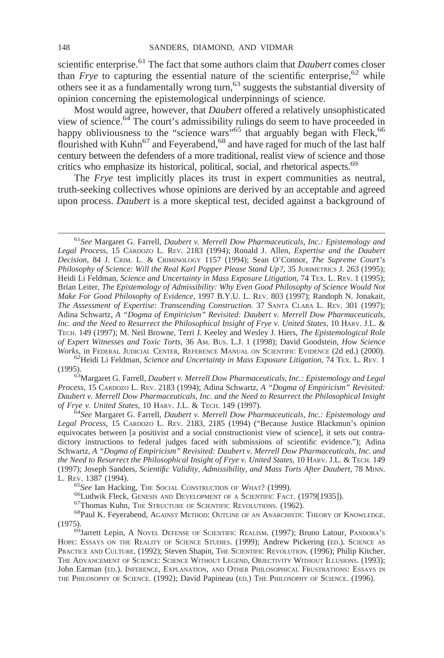scientific enterprise.<sup>61</sup> The fact that some authors claim that *Daubert* comes closer than  $Frye$  to capturing the essential nature of the scientific enterprise,<sup>62</sup> while others see it as a fundamentally wrong turn,<sup>63</sup> suggests the substantial diversity of opinion concerning the epistemological underpinnings of science.

Most would agree, however, that *Daubert* offered a relatively unsophisticated view of science.64 The court's admissibility rulings do seem to have proceeded in happy obliviousness to the "science wars"<sup>65</sup> that arguably began with Fleck,<sup>66</sup> flourished with  $Kuhn<sup>67</sup>$  and Feyerabend,<sup>68</sup> and have raged for much of the last half century between the defenders of a more traditional, realist view of science and those critics who emphasize its historical, political, social, and rhetorical aspects.<sup>69</sup>

The *Frye* test implicitly places its trust in expert communities as neutral, truth-seeking collectives whose opinions are derived by an acceptable and agreed upon process. *Daubert* is a more skeptical test, decided against a background of

*Process,* 15 CARDOZO L. REV. 2183 (1994); Adina Schwartz, *A "Dogma of Empiricism" Revisited: Daubert v. Merrell Dow Pharmaceuticals, Inc. and the Need to Resurrect the Philosophical Insight of Frye v. United States,* 10 HARV. J.L. & TECH. 149 (1997). <sup>64</sup>*See* Margaret G. Farrell, *Daubert v. Merrell Dow Pharmaceuticals, Inc.: Epistemology and*

*Legal Process,* 15 CARDOZO L. REV. 2183, 2185 (1994) ("Because Justice Blackmun's opinion equivocates between [a positivist and a social constructionist view of science], it sets out contradictory instructions to federal judges faced with submissions of scientific evidence."); Adina Schwartz, *A "Dogma of Empiricism" Revisited: Daubert v. Merrell Dow Pharmaceuticals, Inc. and the Need to Resurrect the Philosophical Insight of Frye v. United States,* 10 HARV. J.L. & TECH. 149 (1997); Joseph Sanders, *Scientific Validity, Admissibility, and Mass Torts After Daubert,* 78 MINN.

<sup>65</sup>See Ian Hacking, The Social Construction of What? (1999).<br><sup>66</sup>Ludwik Fleck, Genesis and Development of a Scientific Fact. (1979[1935]).<br><sup>67</sup>Thomas Kuhn, The Structure of Scientific Revolutions. (1962).<br><sup>68</sup>Paul K. Feye (1975). 69Jarrett Lepin, A NOVEL DEFENSE OF SCIENTIFIC REALISM. (1997); Bruno Latour, PANDORA'S

<sup>61</sup>*See* Margaret G. Farrell, *Daubert v. Merrell Dow Pharmaceuticals, Inc.: Epistemology and Legal Process,* 15 CARDOZO L. REV. 2183 (1994); Ronald J. Allen, *Expertise and the Daubert Decision,* 84 J. CRIM. L. & CRIMINOLOGY 1157 (1994); Sean O'Connor, *The Supreme Court's Philosophy of Science: Will the Real Karl Popper Please Stand Up?,* 35 JURIMETRICS J. 263 (1995); Heidi Li Feldman, *Science and Uncertainty in Mass Exposure Litigation,* 74 TEX. L. REV. 1 (1995); Brian Leiter, *The Epistemology of Admissibility: Why Even Good Philosophy of Science Would Not Make For Good Philosophy of Evidence,* 1997 B.Y.U. L. REV. 803 (1997); Randoph N. Jonakait, *The Assessment of Expertise: Transcending Construction.* 37 SANTA CLARA L. REV. 301 (1997); Adina Schwartz, *A "Dogma of Empiricism" Revisited: Daubert v. Merrell Dow Pharmaceuticals, Inc. and the Need to Resurrect the Philosophical Insight of Frye v. United States,* 10 HARV. J.L. & TECH. 149 (1997); M. Neil Browne, Terri J. Keeley and Wesley J. Hiers, *The Epistemological Role of Expert Witnesses and Toxic Torts,* 36 AM. BUS. L.J. 1 (1998); David Goodstein, *How Science Works,* in FEDERAL JUDICIAL CENTER, REFERENCE MANUAL ON SCIENTIFIC EVIDENCE (2d ed.) (2000). <sup>62</sup>Heidi Li Feldman, *Science and Uncertainty in Mass Exposure Litigation*, 74 TEX. L. REV. 1

<sup>(1995).</sup> 63Margaret G. Farrell, *Daubert v. Merrell Dow Pharmaceuticals, Inc.: Epistemology and Legal*

HOPE: ESSAYS ON THE REALITY OF SCIENCE STUDIES. (1999); Andrew Pickering (ED.). SCIENCE AS PRACTICE AND CULTURE. (1992); Steven Shapin, THE SCIENTIFIC REVOLUTION. (1996); Philip Kitcher, THE ADVANCEMENT OF SCIENCE: SCIENCE WITHOUT LEGEND, OBJECTIVITY WITHOUT ILLUSIONS. (1993); John Earman (ED.). INFERENCE, EXPLANATION, AND OTHER PHILOSOPHICAL FRUSTRATIONS: ESSAYS IN THE PHILOSOPHY OF SCIENCE. (1992); David Papineau (ED.) THE PHILOSOPHY OF SCIENCE. (1996).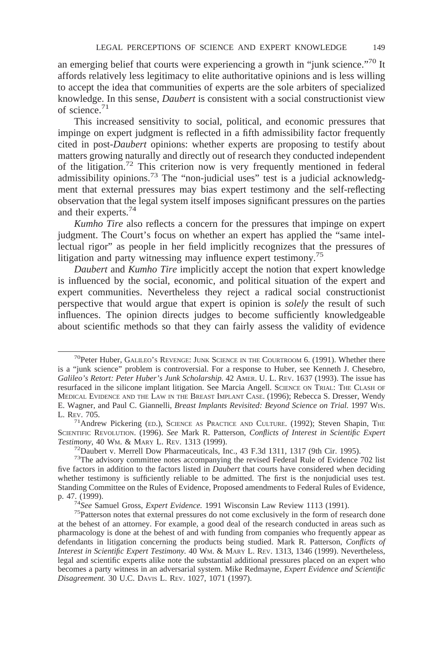an emerging belief that courts were experiencing a growth in "junk science."<sup>70</sup> It affords relatively less legitimacy to elite authoritative opinions and is less willing to accept the idea that communities of experts are the sole arbiters of specialized knowledge. In this sense, *Daubert* is consistent with a social constructionist view of science. $71$ 

This increased sensitivity to social, political, and economic pressures that impinge on expert judgment is reflected in a fifth admissibility factor frequently cited in post-*Daubert* opinions: whether experts are proposing to testify about matters growing naturally and directly out of research they conducted independent of the litigation.72 This criterion now is very frequently mentioned in federal admissibility opinions.<sup>73</sup> The "non-judicial uses" test is a judicial acknowledgment that external pressures may bias expert testimony and the self-reflecting observation that the legal system itself imposes significant pressures on the parties and their experts.<sup>74</sup>

*Kumho Tire* also reflects a concern for the pressures that impinge on expert judgment. The Court's focus on whether an expert has applied the "same intellectual rigor" as people in her field implicitly recognizes that the pressures of litigation and party witnessing may influence expert testimony.<sup>75</sup>

*Daubert* and *Kumho Tire* implicitly accept the notion that expert knowledge is influenced by the social, economic, and political situation of the expert and expert communities. Nevertheless they reject a radical social constructionist perspective that would argue that expert is opinion is *solely* the result of such influences. The opinion directs judges to become sufficiently knowledgeable about scientific methods so that they can fairly assess the validity of evidence

<sup>70</sup>Peter Huber, GALILEO'S REVENGE: JUNK SCIENCE IN THE COURTROOM 6. (1991). Whether there is a "junk science" problem is controversial. For a response to Huber, see Kenneth J. Chesebro, *Galileo's Retort: Peter Huber's Junk Scholarship.* 42 AMER. U. L. REV. 1637 (1993). The issue has resurfaced in the silicone implant litigation. See Marcia Angell. SCIENCE ON TRIAL: THE CLASH OF MEDICAL EVIDENCE AND THE LAW IN THE BREAST IMPLANT CASE. (1996); Rebecca S. Dresser, Wendy E. Wagner, and Paul C. Giannelli, *Breast Implants Revisited: Beyond Science on Trial.* 1997 WIS. L. REV. 705.<br><sup>71</sup>Andrew Pickering (ED.), SCIENCE AS PRACTICE AND CULTURE. (1992); Steven Shapin, THE

SCIENTIFIC REVOLUTION. (1996). *See* Mark R. Patterson, *Conflicts of Interest in Scientific Expert*

<sup>&</sup>lt;sup>72</sup>Daubert v. Merrell Dow Pharmaceuticals, Inc., 43 F.3d 1311, 1317 (9th Cir. 1995). <sup>73</sup>The advisory committee notes accompanying the revised Federal Rule of Evidence 702 list five factors in addition to the factors listed in *Daubert* that courts have considered when deciding whether testimony is sufficiently reliable to be admitted. The first is the nonjudicial uses test. Standing Committee on the Rules of Evidence, Proposed amendments to Federal Rules of Evidence, p. 47. (1999).

<sup>&</sup>lt;sup>74</sup>See Samuel Gross, *Expert Evidence*. 1991 Wisconsin Law Review 1113 (1991). <sup>75</sup>Patterson notes that external pressures do not come exclusively in the form of research done at the behest of an attorney. For example, a good deal of the research conducted in areas such as pharmacology is done at the behest of and with funding from companies who frequently appear as defendants in litigation concerning the products being studied. Mark R. Patterson, *Conflicts of Interest in Scientific Expert Testimony.* 40 WM.&MARY L. REV. 1313, 1346 (1999). Nevertheless, legal and scientific experts alike note the substantial additional pressures placed on an expert who becomes a party witness in an adversarial system. Mike Redmayne, *Expert Evidence and Scientific Disagreement.* 30 U.C. DAVIS L. REV. 1027, 1071 (1997).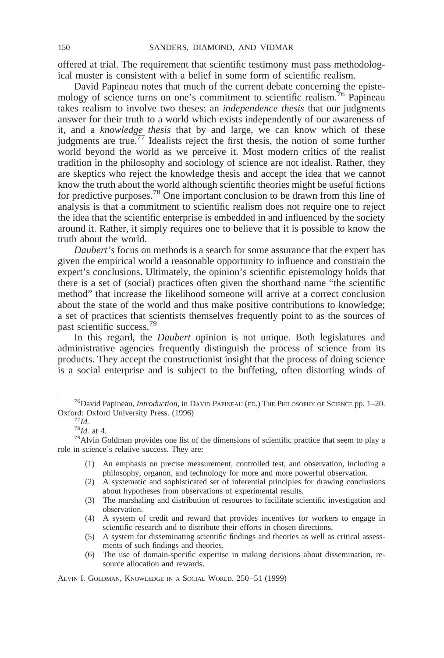offered at trial. The requirement that scientific testimony must pass methodological muster is consistent with a belief in some form of scientific realism.

David Papineau notes that much of the current debate concerning the epistemology of science turns on one's commitment to scientific realism.<sup>76</sup> Papineau takes realism to involve two theses: an *independence thesis* that our judgments answer for their truth to a world which exists independently of our awareness of it, and a *knowledge thesis* that by and large, we can know which of these judgments are true.77 Idealists reject the first thesis, the notion of some further world beyond the world as we perceive it. Most modern critics of the realist tradition in the philosophy and sociology of science are not idealist. Rather, they are skeptics who reject the knowledge thesis and accept the idea that we cannot know the truth about the world although scientific theories might be useful fictions for predictive purposes.78 One important conclusion to be drawn from this line of analysis is that a commitment to scientific realism does not require one to reject the idea that the scientific enterprise is embedded in and influenced by the society around it. Rather, it simply requires one to believe that it is possible to know the truth about the world.

*Daubert's* focus on methods is a search for some assurance that the expert has given the empirical world a reasonable opportunity to influence and constrain the expert's conclusions. Ultimately, the opinion's scientific epistemology holds that there is a set of (social) practices often given the shorthand name "the scientific method" that increase the likelihood someone will arrive at a correct conclusion about the state of the world and thus make positive contributions to knowledge; a set of practices that scientists themselves frequently point to as the sources of past scientific success.<sup>79</sup>

In this regard, the *Daubert* opinion is not unique. Both legislatures and administrative agencies frequently distinguish the process of science from its products. They accept the constructionist insight that the process of doing science is a social enterprise and is subject to the buffeting, often distorting winds of

Oxford: Oxford University Press. (1996)<br>
<sup>77</sup>*Id.*<br><sup>78</sup>*Id.* at 4. <sup>79</sup>Alvin Goldman provides one list of the dimensions of scientific practice that seem to play a role in science's relative success. They are:

- (1) An emphasis on precise measurement, controlled test, and observation, including a philosophy, organon, and technology for more and more powerful observation.
- (2) A systematic and sophisticated set of inferential principles for drawing conclusions about hypotheses from observations of experimental results.
- (3) The marshaling and distribution of resources to facilitate scientific investigation and observation.
- (4) A system of credit and reward that provides incentives for workers to engage in scientific research and to distribute their efforts in chosen directions.
- (5) A system for disseminating scientific findings and theories as well as critical assessments of such findings and theories.
- (6) The use of domain-specific expertise in making decisions about dissemination, resource allocation and rewards.

ALVIN I. GOLDMAN, KNOWLEDGE IN A SOCIAL WORLD. 250–51 (1999)

<sup>76</sup>David Papineau, *Introduction,* in DAVID PAPINEAU (ED.) THE PHILOSOPHY OF SCIENCE pp. 1–20.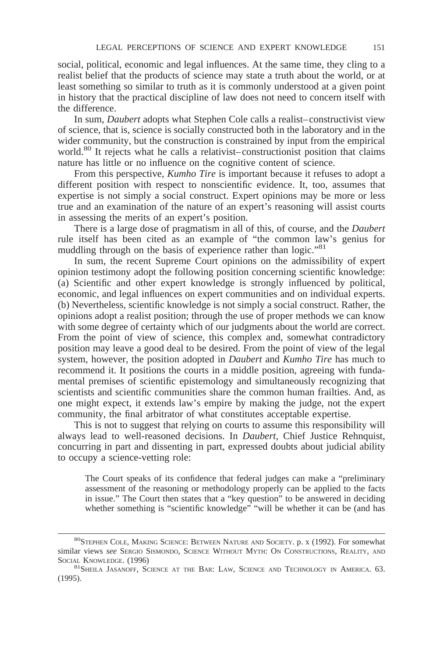social, political, economic and legal influences. At the same time, they cling to a realist belief that the products of science may state a truth about the world, or at least something so similar to truth as it is commonly understood at a given point in history that the practical discipline of law does not need to concern itself with the difference.

In sum, *Daubert* adopts what Stephen Cole calls a realist–constructivist view of science, that is, science is socially constructed both in the laboratory and in the wider community, but the construction is constrained by input from the empirical world.<sup>80</sup> It rejects what he calls a relativist–constructionist position that claims nature has little or no influence on the cognitive content of science.

From this perspective, *Kumho Tire* is important because it refuses to adopt a different position with respect to nonscientific evidence. It, too, assumes that expertise is not simply a social construct. Expert opinions may be more or less true and an examination of the nature of an expert's reasoning will assist courts in assessing the merits of an expert's position.

There is a large dose of pragmatism in all of this, of course, and the *Daubert* rule itself has been cited as an example of "the common law's genius for muddling through on the basis of experience rather than logic."<sup>81</sup>

In sum, the recent Supreme Court opinions on the admissibility of expert opinion testimony adopt the following position concerning scientific knowledge: (a) Scientific and other expert knowledge is strongly influenced by political, economic, and legal influences on expert communities and on individual experts. (b) Nevertheless, scientific knowledge is not simply a social construct. Rather, the opinions adopt a realist position; through the use of proper methods we can know with some degree of certainty which of our judgments about the world are correct. From the point of view of science, this complex and, somewhat contradictory position may leave a good deal to be desired. From the point of view of the legal system, however, the position adopted in *Daubert* and *Kumho Tire* has much to recommend it. It positions the courts in a middle position, agreeing with fundamental premises of scientific epistemology and simultaneously recognizing that scientists and scientific communities share the common human frailties. And, as one might expect, it extends law's empire by making the judge, not the expert community, the final arbitrator of what constitutes acceptable expertise.

This is not to suggest that relying on courts to assume this responsibility will always lead to well-reasoned decisions. In *Daubert,* Chief Justice Rehnquist, concurring in part and dissenting in part, expressed doubts about judicial ability to occupy a science-vetting role:

The Court speaks of its confidence that federal judges can make a "preliminary assessment of the reasoning or methodology properly can be applied to the facts in issue." The Court then states that a "key question" to be answered in deciding whether something is "scientific knowledge" "will be whether it can be (and has

<sup>80</sup>STEPHEN COLE, MAKING SCIENCE: BETWEEN NATURE AND SOCIETY. p. x (1992). For somewhat similar views *see* SERGIO SISMONDO, SCIENCE WITHOUT MYTH: ON CONSTRUCTIONS, REALITY, AND SOCIAL KNOWLEDGE. (1996)<br><sup>81</sup>SHEILA JASANOFF, SCIENCE AT THE BAR: LAW, SCIENCE AND TECHNOLOGY IN AMERICA. 63.

<sup>(1995).</sup>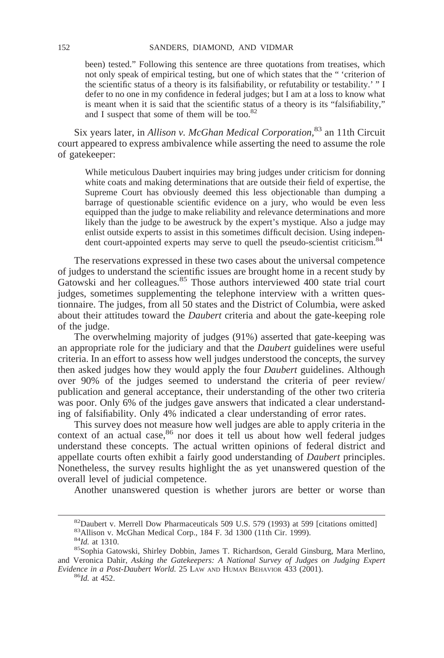been) tested." Following this sentence are three quotations from treatises, which not only speak of empirical testing, but one of which states that the " 'criterion of the scientific status of a theory is its falsifiability, or refutability or testability.' " I defer to no one in my confidence in federal judges; but I am at a loss to know what is meant when it is said that the scientific status of a theory is its "falsifiability," and I suspect that some of them will be too.<sup>82</sup>

Six years later, in *Allison v. McGhan Medical Corporation,*<sup>83</sup> an 11th Circuit court appeared to express ambivalence while asserting the need to assume the role of gatekeeper:

While meticulous Daubert inquiries may bring judges under criticism for donning white coats and making determinations that are outside their field of expertise, the Supreme Court has obviously deemed this less objectionable than dumping a barrage of questionable scientific evidence on a jury, who would be even less equipped than the judge to make reliability and relevance determinations and more likely than the judge to be awestruck by the expert's mystique. Also a judge may enlist outside experts to assist in this sometimes difficult decision. Using independent court-appointed experts may serve to quell the pseudo-scientist criticism.<sup>84</sup>

The reservations expressed in these two cases about the universal competence of judges to understand the scientific issues are brought home in a recent study by Gatowski and her colleagues.<sup>85</sup> Those authors interviewed 400 state trial court judges, sometimes supplementing the telephone interview with a written questionnaire. The judges, from all 50 states and the District of Columbia, were asked about their attitudes toward the *Daubert* criteria and about the gate-keeping role of the judge.

The overwhelming majority of judges (91%) asserted that gate-keeping was an appropriate role for the judiciary and that the *Daubert* guidelines were useful criteria. In an effort to assess how well judges understood the concepts, the survey then asked judges how they would apply the four *Daubert* guidelines. Although over 90% of the judges seemed to understand the criteria of peer review/ publication and general acceptance, their understanding of the other two criteria was poor. Only 6% of the judges gave answers that indicated a clear understanding of falsifiability. Only 4% indicated a clear understanding of error rates.

This survey does not measure how well judges are able to apply criteria in the context of an actual case,<sup>86</sup> nor does it tell us about how well federal judges understand these concepts. The actual written opinions of federal district and appellate courts often exhibit a fairly good understanding of *Daubert* principles. Nonetheless, the survey results highlight the as yet unanswered question of the overall level of judicial competence.

Another unanswered question is whether jurors are better or worse than

<sup>&</sup>lt;sup>82</sup>Daubert v. Merrell Dow Pharmaceuticals 509 U.S. 579 (1993) at 599 [citations omitted]<br><sup>83</sup>Allison v. McGhan Medical Corp., 184 F. 3d 1300 (11th Cir. 1999).<br><sup>84</sup>*Id.* at 1310.<br><sup>85</sup>Sophia Gatowski, Shirley Dobbin, James

and Veronica Dahir, *Asking the Gatekeepers: A National Survey of Judges on Judging Expert Evidence in a Post-Daubert World.* 25 LAW AND HUMAN BEHAVIOR 433 (2001). <sup>86</sup>*Id.* at 452.